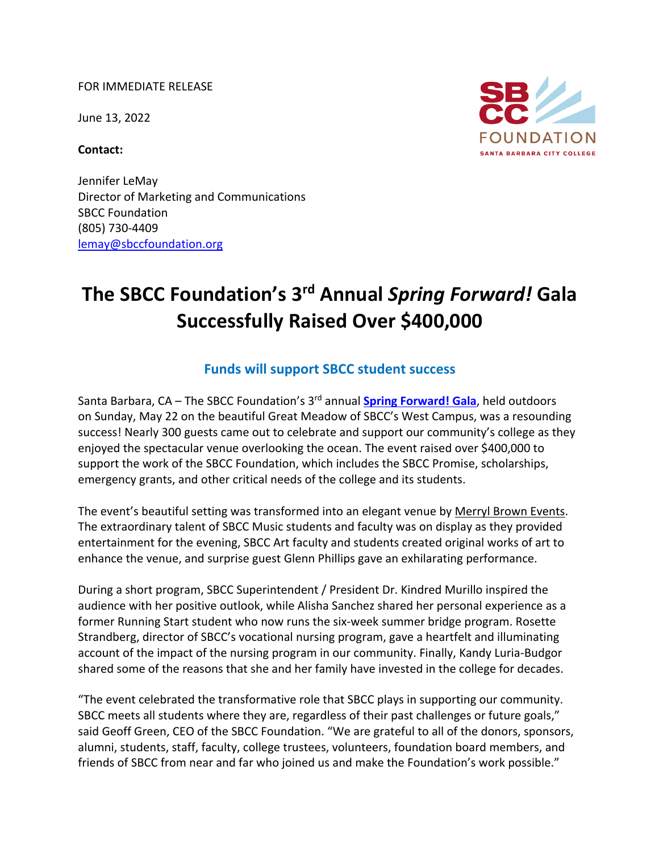FOR IMMEDIATE RELEASE

June 13, 2022

**Contact:**

FOUNDATION SANTA BARBARA CITY COLLEGE

Jennifer LeMay Director of Marketing and Communications SBCC Foundation (805) 730-4409 lemay@sbccfoundation.org

## **The SBCC Foundation's 3rd Annual** *Spring Forward!* **Gala Successfully Raised Over \$400,000**

## **Funds will support SBCC student success**

Santa Barbara, CA – The SBCC Foundation's 3rd annual **Spring Forward! Gala**, held outdoors on Sunday, May 22 on the beautiful Great Meadow of SBCC's West Campus, was a resounding success! Nearly 300 guests came out to celebrate and support our community's college as they enjoyed the spectacular venue overlooking the ocean. The event raised over \$400,000 to support the work of the SBCC Foundation, which includes the SBCC Promise, scholarships, emergency grants, and other critical needs of the college and its students.

The event's beautiful setting was transformed into an elegant venue by Merryl Brown Events. The extraordinary talent of SBCC Music students and faculty was on display as they provided entertainment for the evening, SBCC Art faculty and students created original works of art to enhance the venue, and surprise guest Glenn Phillips gave an exhilarating performance.

During a short program, SBCC Superintendent / President Dr. Kindred Murillo inspired the audience with her positive outlook, while Alisha Sanchez shared her personal experience as a former Running Start student who now runs the six-week summer bridge program. Rosette Strandberg, director of SBCC's vocational nursing program, gave a heartfelt and illuminating account of the impact of the nursing program in our community. Finally, Kandy Luria-Budgor shared some of the reasons that she and her family have invested in the college for decades.

"The event celebrated the transformative role that SBCC plays in supporting our community. SBCC meets all students where they are, regardless of their past challenges or future goals," said Geoff Green, CEO of the SBCC Foundation. "We are grateful to all of the donors, sponsors, alumni, students, staff, faculty, college trustees, volunteers, foundation board members, and friends of SBCC from near and far who joined us and make the Foundation's work possible."